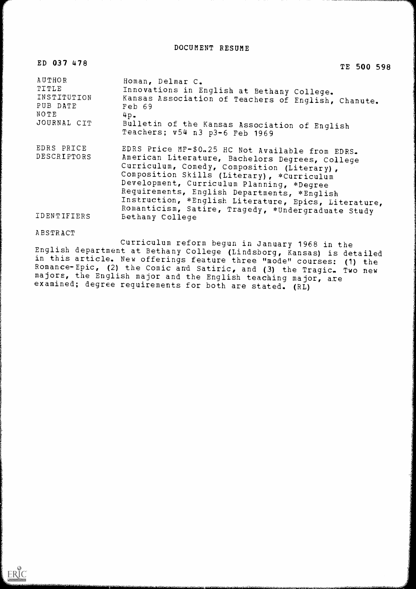DOCUMENT RESUME

| ED 037 478                                                               | TE 500 598                                                                                                                                                                                                                                                                                                                                                                                                 |
|--------------------------------------------------------------------------|------------------------------------------------------------------------------------------------------------------------------------------------------------------------------------------------------------------------------------------------------------------------------------------------------------------------------------------------------------------------------------------------------------|
| AUTHOR<br><b>TITLE</b><br>INSTITUTION<br>PUB DATE<br>NOTE<br>JOURNAL CIT | Homan, Delmar C.<br>Innovations in English at Bethany College.<br>Kansas Association of Teachers of English, Chanute.<br>Feb 69<br>$4p$ .<br>Bulletin of the Kansas Association of English<br>Teachers; v54 n3 p3-6 Feb 1969                                                                                                                                                                               |
| EDRS PRICE<br>DESCRIPTORS                                                | EDRS Price MF-\$0.25 HC Not Available from EDRS.<br>American Literature, Bachelors Degrees, College<br>Curriculum, Comedy, Composition (Literary),<br>Composition Skills (Literary), *Curriculum<br>Development, Curriculum Planning, *Degree<br>Requirements, English Departments, *English<br>Instruction, *English Literature, Epics, Literature,<br>Romanticism, Satire, Tragedy, *Undergraduate Study |
| <b>IDENTIFIERS</b>                                                       | <b>Bethany College</b>                                                                                                                                                                                                                                                                                                                                                                                     |

## ABSTRACT

Curriculum reform begun in January 1968 in the<br>English department at Bethany College (Lindsborg, Kansas) is detailed in this article. New offerings feature three "mode" courses: (1) the Romance-Epic, (2) the Comic and Satiric, and (3) the Tragic. Two new majors, the English major and the English teaching major, are examined; degree requirements for both are stated. (RL)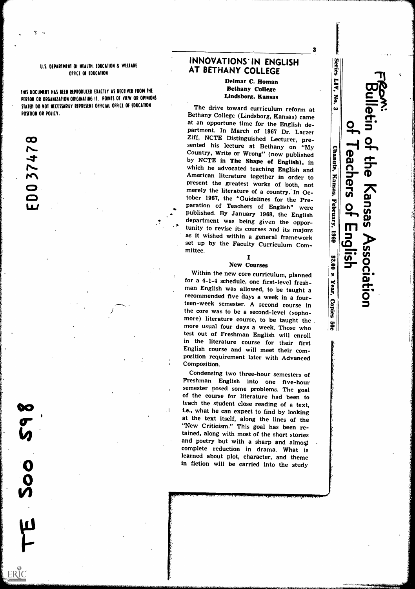## U.S. DEPARTMENT OF HEALTH. EDUCATION & WELFARE OfFICE Of EDUCATION

THIS DOCUMENT HAS SEEN REPRODUCED EXACTLY AS RECEIVED FROM THE PERSON OR ORGANIZATION ORIGINATING IT. POINTS OF VIEW OR OPINIONS STATED DO NOT NECESSARILY REPRESENT OFFICIAL OFFICE OF EDUCATION POSITION OR POLICY.

 $\boldsymbol{\infty}$  $\blacktriangleright$ 4  $\blacktriangleright$  $\blacktriangleright$ 

 $\bullet$ 

 $\bullet$ 

 $\overline{\mathbf{0}}$ 

 $\overline{Q}$ 

 $\boldsymbol{\eta}$ 

4

ERIC

# INNOVATIONS' IN ENGLISH [37] AT BETHANY COLLEGE

# Delmar C. Homan Bethany College Lindsborg, Kansas

3 **K** 

Is.

LIV,

No.

Sesue

**Association** 

The drive toward curriculum reform at  $\begin{bmatrix} \boldsymbol{\omega} \\ \boldsymbol{\omega} \end{bmatrix}$ <br>Bethany College (Lindsborg, Kansas) came at an opportune time for the English de-<br>partment. In March of 1967 Dr. Larzer<br>Ziff, NCTE Distinguished Lecturer, presented his lecture at Bethany on "My Country, Write or Wrong" (now published by NCTE in The Shape of English), in which he advocated teaching English and American literature together in order to<br>present the greatest works of both, not<br>merely the literature of a country. In Ocmerely the literature of a country. In Oc-<br>tober 1967, the "Guidelines for the Pre-<br>paration of Teachers of English" were<br>published. By January 1968, the English<br>department was being given the oppor-<br>tunity to rovise its c tober 1967, the "Guidelines for the Prepublished. By January 1968, the English department was being given the oppor-<br>tunity to revise its courses and its majors as it wished within a general framework set up by the Faculty Curriculum Committee.

#### $\blacksquare$ New Courses

New Courses<br>Within the new core curriculum, planned<br>r a 4-1-4 schedule, one first-level fresh-<br>an English was allowed, to be taught a for a 4-1-4 schedule, one first-level freshman English was allowed, to be taught a recommended five days a week in a fourteen-week semester. A second course in<br>the core was to be a second-level (sopho-<br>mana). Here, the core was to be a second-level (sophomore) literature course, to be taught the  $\begin{vmatrix} \cdot & \cdot \\ \cdot & \cdot \\ \cdot & \cdot \\ \cdot & \cdot \end{vmatrix}$ more usual four days a week. Those who test out of Freshman English will enroll in the literature course for their first English course and will meet their composition requirement later with Advanced Composition.

Condensing two three-hour semesters of Freshman English into one five-hour of the course for literature had been to teach the student close reading of a text, i.e., what he can expect to find by looking at the text itself, along the lines of the "New Criticism." This goal has been retained, along with most of the short stories and poetry but with a sharp and almost complete reduction in drama. What is learned about plot, character, and theme in fiction will be carried into the study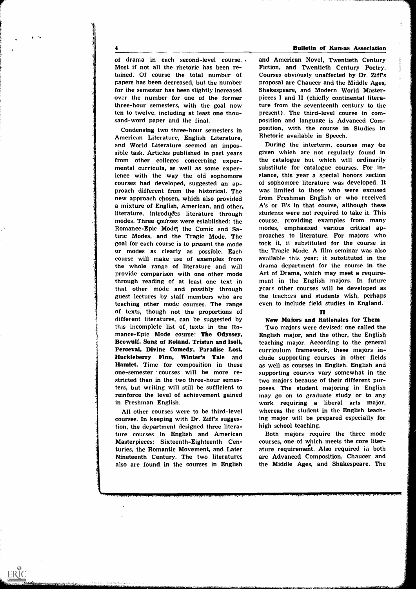1

ERIC

A

of drama in each second-level course.. Most if not all the rhetoric has been retained. Of course the total number of papers has been decreased, but the number for the semester has been slightly increased over the number for one of the former three-hour' semesters, with the goal now ten to twelve, including at least one thousand-word paper and the final.

Condensing two three-hour semesters in American Literature, English Literature, and World Literature seemed an impossible task. Articles published in past years from other colleges concerning expermental curricula, as well as some experience with the way the old sophomore courses had developed, suggested an approach different from the historical. The new approach chosen, which also provided a mixture of English, American, and other, literature, introduces literature through modes. Three courses were established: the Romance-Epic Mode; the Comic and Satiric Modes, and the Tragic Mode. The goal for each course is to present the mode or modes as clearly as possible. Each course will make use of examples from the whole range of literature and will provide comparison with one other mode through reading of at least one text in that other mode and possibly through guest lectures by staff members who are teaching other mode courses. The range of texts, though not the proportions of different literatures, can be suggested by this incomplete list of texts in the Romance-Epic Mode course: The Odyssey, Beowulf, Song of Roland, Tristan and Isolt, Perceval, Divine Comedy, Paradise Lost, Huckleberry Finn, Winter's Tale and Hamlet. Time for composition in these one-semester courses will be more restricted than in the two three-hour semesters, but writing will still be sufficient to reinforce the level of achievement gained may go on to graduate study or to any in Freshman English.

All other courses were to be third-level courses. In keeping with Dr. Ziff's suggestion, the department designed three literature courses in English and American Masterpieces: Sixteenth-Eighteenth Centuries, the Romantic Movement, and Later Nineteenth Century. The two literatures also are found in the courses in English

#### 4 Bulletin of Kansas Association

and American Novel, Twentieth Century Fiction, and Twentieth Century Poetry. Courses obviously unaffected by Dr. Ziff's proposal are Chaucer and the Middle Ages, Shakespeare, and Modern World Masterpieces I and II (chiefly continental literature from the seventeenth century to the present). The third-level course in composition and language is Advanced Composition, with the course in Studies in Rhetoric available in Speech.

During the interterm, courses may be given which are not regularly found in the catalogue bui, which will ordinarily substitute for catalogue courses. For instance, this year a special honors section of sophomore literature was developed. It was limited to those who were excused from Freshman English or who received A's or B's in that course, although these students were not required to take it. This course, providing examples from many modes, emphasized various critical approaches to literature. For majors who took it, it substituted for the course in the Tragic Mode. A film seminar was also available this year; it substituted in the drama department for the course in the Art of Drama, which may meet a requirement in the English majors. In future years other courses will be developed as the teachers and students wish, perhaps even to include field studies in England.

### П

#### New Majors and Rationales for Them

Two majors were devised: one called the English major, and the other, the English teaching major. According to the general curriculum framework, these majors include supporting courses in other fields as well as courses in English. English and supporting courses vary somewhat in the two majors because of their different purposes. The student majoring in English work requiring a liberal arts major, whereas the student in the English teaching major will be prepared especially for high school teaching.

Both majors require the three mode courses, one of which meets the core literature requirement. Also required in both are Advanced Composition, Chaucer and the Middle Ages, and Shakespeare. The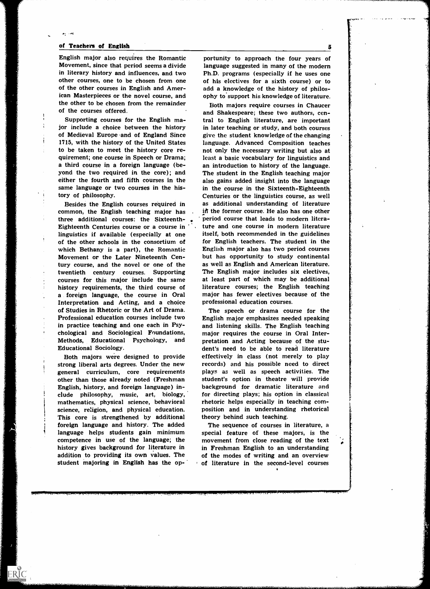#### of Teachers of English

۸ŗ.

English major also requires the Romantic Movement, since that period seems a divide in literary history and influences, and two other courses, one to be chosen from one of the other courses in English and American Masterpieces or the novel course, and the other to be chosen from the remainder of the courses offered.

Supporting courses for the English major include a choice between the history of Medieval Europe and of England Since 1715, with the history of the United States to be taken to meet the history core requirement; one course in Speech or Drama; a third course in a foreign language (beyond the two required in the core); and either the fourth and fifth courses in the same language or two courses in the history of philosophy.

Besides the English courses required in common, the English teaching major has three additional courses: the Sixteenth-Eighteenth Centuries course or a course in linguistics if available (especially at one of the other schools in the consortium of which Bethany is a part), the Romantic Movement or the Later Nineteenth Century course, and the novel or one of the twentieth century courses. Supporting courses for this major include the same history requirements, the third course of a foreign language, the course in Oral Interpretation and Acting, and a choice of Studies in Rhetoric or the Art of Drama. Professional education courses include two in practice teaching and one each in Psychological and Sociological Foundations, Methods, Educational Psychology, and Educational Sociology.

Both majors were designed to provide strong liberal arts degrees. Under the new general curriculum, core requirements other than those already noted (Freshman English, history, and foreign language) include philosophy, music, art, biology, mathematics, physical science, behavioral science, religion, and physical education. This core is strengthened by additional foreign language and history. The added language helps students gain minimum competence in use of the language; the history gives background for literature in addition to providing its own values. The student majoring in English has the op-

ERIC

portunity to approach the four years of language suggested in many of the modern Ph.D. programs (especially if he uses one of his electives for a sixth course) or to add a knowledge of the history of philosophy to support his knowledge of literature.

Both majors require courses in Chaucer and Shakespeare; these two authors, central to English literature, are important in later teaching or study, and both courses give the student knowledge of the changing language. Advanced Composition teaches not only the necessary writing but also at least a basic vocabulary for linguistics and an introduction to history of the language. The student in the English teaching major also gains added insight into the language in the course in the Sixteenth-Eighteenth Centuries or the linguistics course, as well as additional understanding of literature in the former course. He also has one other period course that leads to modern literature and one course in modern literature itself, both recommended in the guidelines for English teachers. The student in the English major also has two period courses but has opportunity to study continental as well as English and American literature. The English major includes six electives, at least part of which may be additional literature courses; the English teaching major has fewer electives because of the professional education courses.

The speech or drama course for the English major emphasizes needed speaking and listening skills. The English teaching major requires the course in Oral Interpretation and Acting because of the student's need to be able to read literature effectively in class (not merely to play records) and his possible need to direct plays as well as speech activities. The student's option in theatre will provide background for dramatic literature and for directing plays; his option in classical rhetoric helps especially in teaching composition and in understanding rhetorical theory behind such teaching.

The sequence of courses in literature, a special feature of these majors, is the movement from close reading of the text in Freshman English to an understanding of the modes of writing and an overview of literature in the second-level courses

5